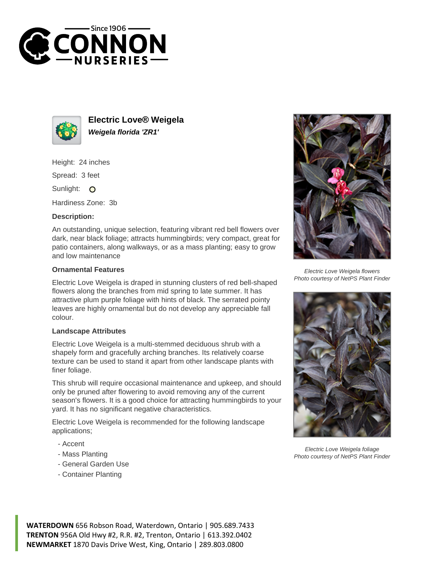



**Electric Love® Weigela Weigela florida 'ZR1'**

Height: 24 inches

Spread: 3 feet

Sunlight: O

Hardiness Zone: 3b

## **Description:**

An outstanding, unique selection, featuring vibrant red bell flowers over dark, near black foliage; attracts hummingbirds; very compact, great for patio containers, along walkways, or as a mass planting; easy to grow and low maintenance

## **Ornamental Features**

Electric Love Weigela is draped in stunning clusters of red bell-shaped flowers along the branches from mid spring to late summer. It has attractive plum purple foliage with hints of black. The serrated pointy leaves are highly ornamental but do not develop any appreciable fall colour.

## **Landscape Attributes**

Electric Love Weigela is a multi-stemmed deciduous shrub with a shapely form and gracefully arching branches. Its relatively coarse texture can be used to stand it apart from other landscape plants with finer foliage.

This shrub will require occasional maintenance and upkeep, and should only be pruned after flowering to avoid removing any of the current season's flowers. It is a good choice for attracting hummingbirds to your yard. It has no significant negative characteristics.

Electric Love Weigela is recommended for the following landscape applications;

- Accent
- Mass Planting
- General Garden Use
- Container Planting



Electric Love Weigela flowers Photo courtesy of NetPS Plant Finder



Electric Love Weigela foliage Photo courtesy of NetPS Plant Finder